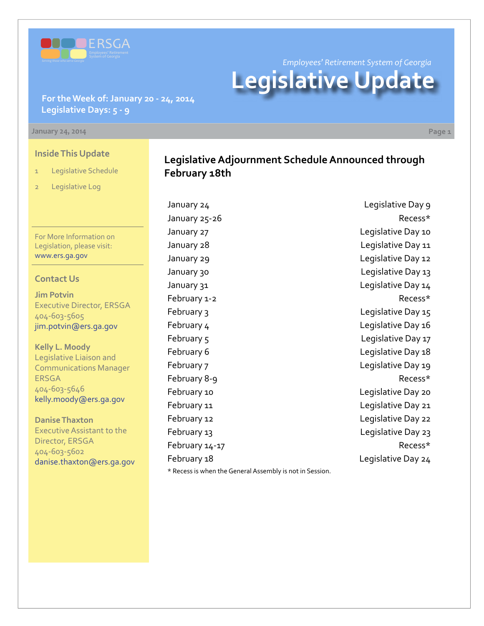

*Employees' Retirement System of Georgia*

**Legislative Update**

**For the Week of: January 20 - 24, 2014 Legislative Days: 5 - 9**

#### **January 24, 2014 Page 1**

#### **Inside This Update**

- 1 Legislative Schedule
- 2 Legislative Log

For More Information on Legislation, please visit: [www.ers.ga.gov](http://www.ers.ga.gov/default.aspx)

### **Contact Us**

**Jim Potvin** Executive Director, ERSGA 404-603-5605 jim.potvin@ers.ga.gov

**Kelly L. Moody** Legislative Liaison and Communications Manager ERSGA 404-603-5646 kelly.moody@ers.ga.gov

**Danise Thaxton** Executive Assistant to the Director, ERSGA 404-603-5602 danise.thaxton@ers.ga.gov

### **Legislative Adjournment Schedule Announced through February 18th**

January 24 **Legislative Day 9** January 25-26 Recess\* January 27 **Legislative Day 10** January 28 **Legislative Day 11** January 29 **Legislative Day 12** January 30 **Legislative Day 13** January 31 Legislative Day 14 February 1-2 **Recess**\* February 3 **Legislative Day 15** February 4 **Legislative Day 16** February 5 **Legislative Day 17** February 6 **Legislative Day 18** February 7 and 1990 and 1990 and 1990 and 1990 and 1991 and 1991 and 1991 and 1991 and 1991 and 199 February 8-9 **Recess\*** February 10 **Example 20** Legislative Day 20 February 11 **Example 21** Legislative Day 21 February 12 **Example 20** Legislative Day 22 February 13 **Example 23** Legislative Day 23 February 14-17 and the contract of the Recess\* February 18 Legislative Day 24

\* Recess is when the General Assembly is not in Session.